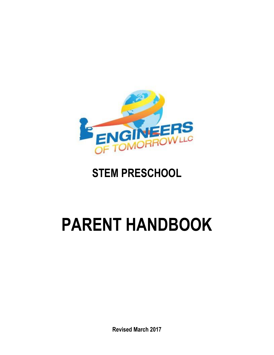

# **STEM PRESCHOOL**

# **PARENT HANDBOOK**

**Revised March 2017**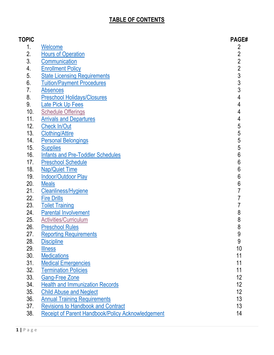## **TABLE OF CONTENTS**

| <b>TOPIC</b> |                                                          | <b>PAGE#</b>                          |
|--------------|----------------------------------------------------------|---------------------------------------|
| 1.           | <b>Welcome</b>                                           | 2                                     |
| 2.           | <b>Hours of Operation</b>                                |                                       |
| 3.           | Communication                                            |                                       |
| 4.           | <b>Enrollment Policy</b>                                 |                                       |
| 5.           | <b>State Licensing Requirements</b>                      |                                       |
| 6.           | <b>Tuition/Payment Procedures</b>                        | 2 2 2 3 3 3 3                         |
| 7.           | <b>Absences</b>                                          |                                       |
| 8.           | <b>Preschool Holidays/Closures</b>                       | $\overline{4}$                        |
| 9.           | <b>Late Pick Up Fees</b>                                 | $\overline{4}$                        |
| 10.          | <b>Schedule Offerings</b>                                | $\overline{\mathbf{4}}$               |
| 11.          | <b>Arrivals and Departures</b>                           |                                       |
| 12.          | <b>Check In/Out</b>                                      |                                       |
| 13.          | <b>Clothing/Attire</b>                                   |                                       |
| 14.          | <b>Personal Belongings</b>                               |                                       |
| 15.          | <b>Supplies</b>                                          |                                       |
| 16.          | <b>Infants and Pre-Toddler Schedules</b>                 |                                       |
| 17.          | <b>Preschool Schedule</b>                                |                                       |
| 18.          | <b>Nap/Quiet Time</b>                                    |                                       |
| 19.          | <b>Indoor/Outdoor Play</b>                               |                                       |
| 20.          | <b>Meals</b>                                             | 45555666667                           |
| 21.          | <b>Cleanliness/Hygiene</b>                               |                                       |
| 22.          | <b>Fire Drills</b>                                       | 7                                     |
| 23.          | <b>Toilet Training</b>                                   | $\overline{7}$                        |
| 24.          | <b>Parental Involvement</b>                              | 8                                     |
| 25.          | <b>Activities/Curriculum</b>                             | $\begin{array}{c} 8 \\ 8 \end{array}$ |
| 26.          | <b>Preschool Rules</b>                                   |                                       |
| 27           | <b>Reporting Requirements</b>                            | 9                                     |
| 28.          | <b>Discipline</b>                                        | 9                                     |
| 29.          | <b>Illness</b>                                           | 10                                    |
| 30.          | <b>Medications</b>                                       | 11                                    |
| 31.          | <b>Medical Emergencies</b>                               | 11                                    |
| 32.          | <b>Termination Policies</b>                              | 11                                    |
| 33.          | <b>Gang-Free Zone</b>                                    | 12                                    |
| 34.          | <b>Health and Immunization Records</b>                   | 12                                    |
| 35.          | <b>Child Abuse and Neglect</b>                           | 12                                    |
| 36.          | <b>Annual Training Requirements</b>                      | 13                                    |
| 37.          | <b>Revisions to Handbook and Contract</b>                | 13                                    |
| 38.          | <b>Receipt of Parent Handbook/Policy Acknowledgement</b> | 14                                    |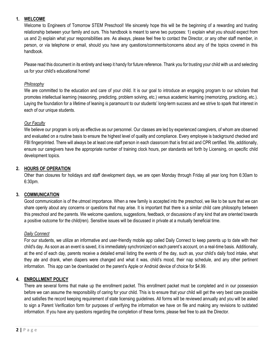#### **1. WELCOME**

Welcome to Engineers of Tomorrow STEM Preschool! We sincerely hope this will be the beginning of a rewarding and trusting relationship between your family and ours. This handbook is meant to serve two purposes: 1) explain what you should expect from us and 2) explain what your responsibilities are. As always, please feel free to contact the Director, or any other staff member, in person, or via telephone or email, should you have any questions/comments/concerns about any of the topics covered in this handbook.

Please read this document in its entirety and keep it handy for future reference. Thank you for trusting your child with us and selecting us for your child's educational home!

#### *Philosophy*

We are committed to the education and care of your child. It is our goal to introduce an engaging program to our scholars that promotes intellectual learning (reasoning, predicting, problem solving, etc.) versus academic learning (memorizing, practicing, etc.). Laying the foundation for a lifetime of leaning is paramount to our students' long-term success and we strive to spark that interest in each of our unique students.

#### *Our Faculty*

We believe our program is only as effective as our personnel. Our classes are led by experienced caregivers, of whom are observed and evaluated on a routine basis to ensure the highest level of quality and compliance. Every employee is background checked and FBI fingerprinted. There will always be at least one staff person in each classroom that is first aid and CPR certified. We, additionally, ensure our caregivers have the appropriate number of training clock hours, per standards set forth by Licensing, on specific child development topics.

#### <span id="page-2-0"></span>**2. HOURS OF OPERATION**

Other than closures for holidays and staff development days, we are open Monday through Friday all year long from 6:30am to 6:30pm.

#### <span id="page-2-1"></span>**3. COMMUNICATION**

Good communication is of the utmost importance. When a new family is accepted into the preschool, we like to be sure that we can share openly about any concerns or questions that may arise. It is important that there is a similar child care philosophy between this preschool and the parents. We welcome questions, suggestions, feedback, or discussions of any kind that are oriented towards a positive outcome for the child(ren). Sensitive issues will be discussed in private at a mutually beneficial time.

#### *Daily Connect*

For our students, we utilize an informative and user-friendly mobile app called Daily Connect to keep parents up to date with their child's day. As soon as an event is saved, it is immediately synchronized on each parent's account, on a real-time basis. Additionally, at the end of each day, parents receive a detailed email listing the events of the day, such as, your child's daily food intake, what they ate and drank, when diapers were changed and what it was, child's mood, their nap schedule, and any other pertinent information. This app can be downloaded on the parent's Apple or Android device of choice for \$4.99.

#### <span id="page-2-2"></span>**4. ENROLLMENT POLICY**

There are several forms that make up the enrollment packet. This enrollment packet must be completed and in our possession before we can assume the responsibility of caring for your child. This is to ensure that your child will get the very best care possible and satisfies the record keeping requirement of state licensing guidelines. All forms will be reviewed annually and you will be asked to sign a Parent Verification form for purposes of verifying the information we have on file and making any revisions to outdated information. If you have any questions regarding the completion of these forms, please feel free to ask the Director.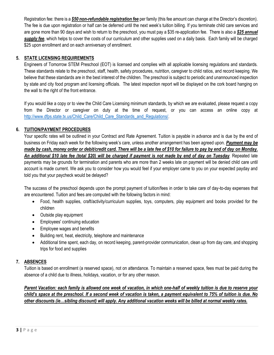Registration fee: there is a *\$50 non-refundable registration fee* per family (this fee amount can change at the Director's discretion). The fee is due upon registration or half can be deferred until the next week's tuition billing. If you terminate child care services and are gone more than 90 days and wish to return to the preschool, you must pay a \$35 re-application fee. There is also a *\$25 annual supply fee*, which helps to cover the costs of our curriculum and other supplies used on a daily basis. Each family will be charged \$25 upon enrollment and on each anniversary of enrollment.

#### <span id="page-3-0"></span>**5. STATE LICENSING REQUIREMENTS**

Engineers of Tomorrow STEM Preschool (EOT) is licensed and complies with all applicable licensing regulations and standards. These standards relate to the preschool, staff, health, safety procedures, nutrition, caregiver to child ratios, and record keeping. We believe that these standards are in the best interest of the children. The preschool is subject to periodic and unannounced inspection by state and city food program and licensing officials. The latest inspection report will be displayed on the cork board hanging on the wall to the right of the front entrance.

If you would like a copy or to view the Child Care Licensing minimum standards, by which we are evaluated, please request a copy from the Director or caregiver on duty at the time of request, or you can access an online copy at [http://www.dfps.state.tx.us/Child\\_Care/Child\\_Care\\_Standards\\_and\\_Regulations/.](http://www.dfps.state.tx.us/Child_Care/Child_Care_Standards_and_Regulations/)

#### <span id="page-3-1"></span>**6. TUITION/PAYMENT PROCEDURES**

Your specific rates will be outlined in your Contract and Rate Agreement. Tuition is payable in advance and is due by the end of business on Friday each week for the following week's care, unless another arrangement has been agreed upon. *Payment may be made by cash, money order or debit/credit card. There will be a late fee of \$10 for failure to pay by end of day on Monday. An additional \$10 late fee (total \$20) will be charged if payment is not made by end of day on Tuesday*. Repeated late payments may be grounds for termination and parents who are more than 2 weeks late on payment will be denied child care until account is made current. We ask you to consider how you would feel if your employer came to you on your expected payday and told you that your paycheck would be delayed?

The success of the preschool depends upon the prompt payment of tuition/fees in order to take care of day-to-day expenses that are encountered. Tuition and fees are computed with the following factors in mind:

- Food, health supplies, craft/activity/curriculum supplies, toys, computers, play equipment and books provided for the children
- Outside play equipment
- Employees' continuing education
- **•** Employee wages and benefits
- Building rent, heat, electricity, telephone and maintenance
- Additional time spent, each day, on record keeping, parent-provider communication, clean up from day care, and shopping trips for food and supplies

#### <span id="page-3-2"></span>**7. ABSENCES**

Tuition is based on enrollment (a reserved space), not on attendance. To maintain a reserved space, fees must be paid during the absence of a child due to illness, holidays, vacation, or for any other reason.

*Parent Vacation: each family is allowed one week of vacation, in which one-half of weekly tuition is due to reserve your child's space at the preschool. If a second week of vacation is taken, a payment equivalent to 75% of tuition is due. No other discounts (ie…sibling discount) will apply. Any additional vacation weeks will be billed at normal weekly rates.*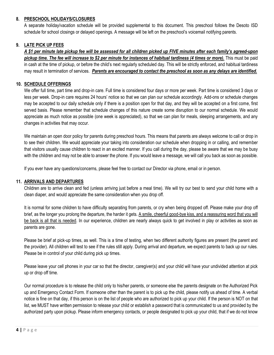#### <span id="page-4-0"></span>**8. PRESCHOOL HOLIDAYS/CLOSURES**

A separate holiday/vacation schedule will be provided supplemental to this document. This preschool follows the Desoto ISD schedule for school closings or delayed openings. A message will be left on the preschool's voicemail notifying parents.

#### <span id="page-4-1"></span>**9. LATE PICK UP FEES**

*A \$1 per minute late pickup fee will be assessed for all children picked up FIVE minutes after each family's agreed-upon pickup time. The fee will increase to \$2 per minute for instances of habitual tardiness (4 times or more).* This must be paid in cash at the time of pickup, or before the child's next regularly scheduled day. This will be strictly enforced, and habitual tardiness may result in termination of services. *Parents are encouraged to contact the preschool as soon as any delays are identified.* 

#### <span id="page-4-2"></span>**10. SCHEDULE OFFERINGS**

We offer full time, part time and drop-in care. Full time is considered four days or more per week. Part time is considered 3 days or less per week. Drop-in care requires 24 hours' notice so that we can plan our schedule accordingly. Add-ons or schedule changes may be accepted to our daily schedule only if there is a position open for that day, and they will be accepted on a first come, first served basis. Please remember that schedule changes of this nature create some disruption to our normal schedule. We would appreciate as much notice as possible (one week is appreciated), so that we can plan for meals, sleeping arrangements, and any changes in activities that may occur.

We maintain an open door policy for parents during preschool hours. This means that parents are always welcome to call or drop in to see their children. We would appreciate your taking into consideration our schedule when dropping in or calling, and remember that visitors usually cause children to react in an excited manner. If you call during the day, please be aware that we may be busy with the children and may not be able to answer the phone. If you would leave a message, we will call you back as soon as possible.

If you ever have any questions/concerns, please feel free to contact our Director via phone, email or in person.

#### <span id="page-4-3"></span>**11. ARRIVALS AND DEPARTURES**

Children are to arrive clean and fed (unless arriving just before a meal time). We will try our best to send your child home with a clean diaper, and would appreciate the same consideration when you drop off.

It is normal for some children to have difficulty separating from parents, or cry when being dropped off. Please make your drop off brief, as the longer you prolong the departure, the harder it gets. A smile, cheerful good-bye kiss, and a reassuring word that you will be back is all that is needed. In our experience, children are nearly always quick to get involved in play or activities as soon as parents are gone.

Please be brief at pick-up times, as well. This is a time of testing, when two different authority figures are present (the parent and the provider). All children will test to see if the rules still apply. During arrival and departure, we expect parents to back up our rules. Please be in control of your child during pick up times.

Please leave your cell phones in your car so that the director, caregiver(s) and your child will have your undivided attention at pick up or drop off time.

Our normal procedure is to release the child only to his/her parents, or someone else the parents designate on the Authorized Pick up and Emergency Contact Form. If someone other than the parent is to pick up the child, please notify us ahead of time. A verbal notice is fine on that day, if this person is on the list of people who are authorized to pick up your child. If the person is NOT on that list, we MUST have written permission to release your child or establish a password that is communicated to us and provided by the authorized party upon pickup. Please inform emergency contacts, or people designated to pick up your child, that if we do not know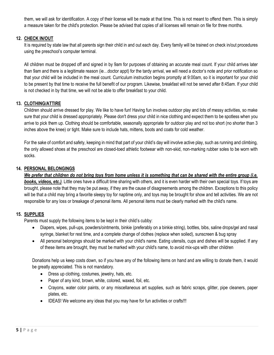them, we will ask for identification. A copy of their license will be made at that time. This is not meant to offend them. This is simply a measure taken for the child's protection. Please be advised that copies of all licenses will remain on file for three months.

#### <span id="page-5-0"></span>**12. CHECK IN/OUT**

It is required by state law that all parents sign their child in and out each day. Every family will be trained on check in/out procedures using the preschool's computer terminal.

All children must be dropped off and signed in by 9am for purposes of obtaining an accurate meal count. If your child arrives later than 9am and there is a legitimate reason (ie…doctor appt) for the tardy arrival, we will need a doctor's note and prior notification so that your child will be included in the meal count. Curriculum instruction begins promptly at 9:00am, so it is important for your child to be present by that time to receive the full benefit of our program. Likewise, breakfast will not be served after 8:45am. If your child is not checked in by that time, we will not be able to offer breakfast to your child.

#### <span id="page-5-1"></span>**13. CLOTHING/ATTIRE**

Children should arrive dressed for play. We like to have fun! Having fun involves outdoor play and lots of messy activities, so make sure that your child is dressed appropriately. Please don't dress your child in nice clothing and expect them to be spotless when you arrive to pick them up. Clothing should be comfortable, seasonally appropriate for outdoor play and not too short (no shorter than 3 inches above the knee) or tight. Make sure to include hats, mittens, boots and coats for cold weather.

For the sake of comfort and safety, keeping in mind that part of your child's day will involve active play, such as running and climbing, the only allowed shoes at the preschool are closed-toed athletic footwear with non-skid, non-marking rubber soles to be worn with socks.

#### <span id="page-5-2"></span>**14. PERSONAL BELONGINGS**

*We prefer that children do not bring toys from home unless it is something that can be shared with the entire group (i.e. books, videos, etc.)*. Little ones have a difficult time sharing with others, and it is even harder with their own special toys. If toys are brought, please note that they may be put away, if they are the cause of disagreements among the children. Exceptions to this policy will be that a child may bring a favorite sleepy toy for naptime only, and toys may be brought for show and tell activities. We are not responsible for any loss or breakage of personal items. All personal items must be clearly marked with the child's name.

#### <span id="page-5-3"></span>**15. SUPPLIES**

Parents must supply the following items to be kept in their child's cubby:

- Diapers, wipes, pull-ups, powders/ointments, binkie (preferably on a binkie string), bottles, bibs, saline drops/gel and nasal syringe, blanket for rest time, and a complete change of clothes (replace when soiled), sunscreen & bug spray
- All personal belongings should be marked with your child's name. Eating utensils, cups and dishes will be supplied. If any of these items are brought, they must be marked with your child's name, to avoid mix-ups with other children

Donations help us keep costs down, so if you have any of the following items on hand and are willing to donate them, it would be greatly appreciated. This is not mandatory.

- Dress up clothing, costumes, jewelry, hats, etc.
- Paper of any kind, brown, white, colored, waxed, foil, etc.
- Crayons, water color paints, or any miscellaneous art supplies, such as fabric scraps, glitter, pipe cleaners, paper plates, etc.
- IDEAS! We welcome any ideas that you may have for fun activities or crafts!!!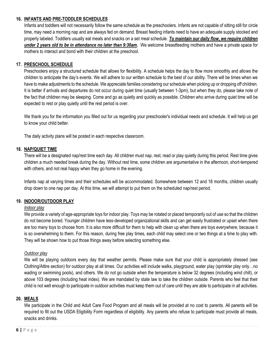#### <span id="page-6-0"></span>**16. INFANTS AND PRE-TODDLER SCHEDULES**

Infants and toddlers will not necessarily follow the same schedule as the preschoolers. Infants are not capable of sitting still for circle time, may need a morning nap and are always fed on demand. Breast feeding infants need to have an adequate supply stocked and properly labeled. Toddlers usually eat meals and snacks on a set meal schedule. *To maintain our daily flow, we require children under 2 years old to be in attendance no later than 9:30am.* We welcome breastfeeding mothers and have a private space for mothers to interact and bond with their children at the preschool.

#### <span id="page-6-1"></span>**17. PRESCHOOL SCHEDULE**

Preschoolers enjoy a structured schedule that allows for flexibility. A schedule helps the day to flow more smoothly and allows the children to anticipate the day's events. We will adhere to our written schedule to the best of our ability. There will be times when we have to make adjustments to the schedule. We appreciate families considering our schedule when picking up or dropping off children. It is better if arrivals and departures do not occur during quiet time (usually between 1-3pm), but when they do, please take note of the fact that children may be sleeping. Come and go as quietly and quickly as possible. Children who arrive during quiet time will be expected to rest or play quietly until the rest period is over.

We thank you for the information you filled out for us regarding your preschooler's individual needs and schedule. It will help us get to know your child better.

The daily activity plans will be posted in each respective classroom.

#### <span id="page-6-2"></span>**18. NAP/QUIET TIME**

There will be a designated nap/rest time each day. All children must nap, rest, read or play quietly during this period. Rest time gives children a much needed break during the day. Without rest time, some children are argumentative in the afternoon, short-tempered with others, and not real happy when they go home in the evening.

Infants nap at varying times and their schedules will be accommodated. Somewhere between 12 and 18 months, children usually drop down to one nap per day. At this time, we will attempt to put them on the scheduled nap/rest period.

#### <span id="page-6-3"></span>**19. INDOOR/OUTDOOR PLAY**

#### *Indoor play*

We provide a variety of age-appropriate toys for indoor play. Toys may be rotated or placed temporarily out of use so that the children do not become bored. Younger children have less-developed organizational skills and can get easily frustrated or upset when there are too many toys to choose from. It is also more difficult for them to help with clean up when there are toys everywhere, because it is so overwhelming to them. For this reason, during free play times, each child may select one or two things at a time to play with. They will be shown how to put those things away before selecting something else.

#### *Outdoor play*

We will be playing outdoors every day that weather permits. Please make sure that your child is appropriately dressed (see Clothing/Attire section) for outdoor play at all times. Our activities will include walks, playground, water play (sprinkler play only…no wading or swimming pools), and others. We do not go outside when the temperature is below 32 degrees (including wind chill), or above 103 degrees (including heat index). We are mandated by state law to take the children outside. Parents who feel that their child is not well enough to participate in outdoor activities must keep them out of care until they are able to participate in all activities.

#### <span id="page-6-4"></span>**20. MEALS**

We participate in the Child and Adult Care Food Program and all meals will be provided at no cost to parents. All parents will be required to fill out the USDA Eligibility Form regardless of eligibility. Any parents who refuse to participate must provide all meals, snacks and drinks.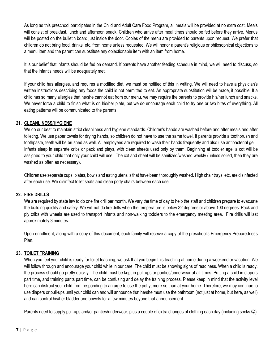As long as this preschool participates in the Child and Adult Care Food Program, all meals will be provided at no extra cost. Meals will consist of breakfast, lunch and afternoon snack. Children who arrive after meal times should be fed before they arrive. Menus will be posted on the bulletin board just inside the door. Copies of the menu are provided to parents upon request. We prefer that children do not bring food, drinks, etc. from home unless requested. We will honor a parent's religious or philosophical objections to a menu item and the parent can substitute any objectionable item with an item from home.

It is our belief that infants should be fed on demand. If parents have another feeding schedule in mind, we will need to discuss, so that the infant's needs will be adequately met.

If your child has allergies, and requires a modified diet, we must be notified of this in writing. We will need to have a physician's written instructions describing any foods the child is not permitted to eat. An appropriate substitution will be made, if possible. If a child has so many allergies that he/she cannot eat from our menu, we may require the parents to provide his/her lunch and snacks. We never force a child to finish what is on his/her plate, but we do encourage each child to try one or two bites of everything. All eating patterns will be communicated to the parents.

#### <span id="page-7-0"></span>**21. CLEANLINESS/HYGIENE**

We do our best to maintain strict cleanliness and hygiene standards. Children's hands are washed before and after meals and after toileting. We use paper towels for drying hands, so children do not have to use the same towel. If parents provide a toothbrush and toothpaste, teeth will be brushed as well. All employees are required to wash their hands frequently and also use antibacterial gel. Infants sleep in separate cribs or pack and plays, with clean sheets used only by them. Beginning at toddler age, a cot will be assigned to your child that only your child will use. The cot and sheet will be sanitized/washed weekly (unless soiled, then they are washed as often as necessary).

Children use separate cups, plates, bowls and eating utensils that have been thoroughly washed. High chair trays, etc. are disinfected after each use. We disinfect toilet seats and clean potty chairs between each use.

#### <span id="page-7-1"></span>**22. FIRE DRILLS**

We are required by state law to do one fire drill per month. We vary the time of day to help the staff and children prepare to evacuate the building quickly and safely. We will not do fire drills when the temperature is below 32 degrees or above 103 degrees. Pack and ply cribs with wheels are used to transport infants and non-walking toddlers to the emergency meeting area. Fire drills will last approximately 3 minutes.

Upon enrollment, along with a copy of this document, each family will receive a copy of the preschool's Emergency Preparedness Plan.

#### <span id="page-7-2"></span>**23. TOILET TRAINING**

When you feel your child is ready for toilet teaching, we ask that you begin this teaching at home during a weekend or vacation. We will follow through and encourage your child while in our care. The child must be showing signs of readiness. When a child is ready, the process should go pretty quickly. The child must be kept in pull-ups or panties/underwear at all times. Putting a child in diapers part time, and training pants part time, can be confusing and delay the training process. Please keep in mind that the activity level here can distract your child from responding to an urge to use the potty, more so than at your home. Therefore, we may continue to use diapers or pull-ups until your child can and will announce that he/she must use the bathroom (not just at home, but here, as well) and can control his/her bladder and bowels for a few minutes beyond that announcement.

Parents need to supply pull-ups and/or panties/underwear, plus a couple of extra changes of clothing each day (including socks  $\circledcirc$ ).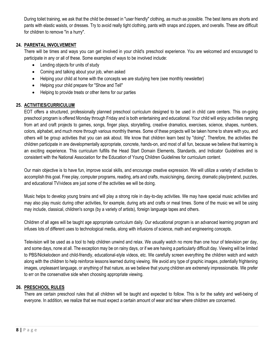During toilet training, we ask that the child be dressed in "user friendly" clothing, as much as possible. The best items are shorts and pants with elastic waists, or dresses. Try to avoid really tight clothing, pants with snaps and zippers, and overalls. These are difficult for children to remove "in a hurry".

#### <span id="page-8-0"></span>**24. PARENTAL INVOLVEMENT**

There will be times and ways you can get involved in your child's preschool experience. You are welcomed and encouraged to participate in any or all of these. Some examples of ways to be involved include:

- Lending objects for units of study
- Coming and talking about your job, when asked
- Helping your child at home with the concepts we are studying here (see monthly newsletter)
- Helping your child prepare for "Show and Tell"
- Helping to provide treats or other items for our parties

#### <span id="page-8-1"></span>**25. ACTIVITIES/CURRICULUM**

EOT offers a structured, professionally planned preschool curriculum designed to be used in child care centers. This on-going preschool program is offered Monday through Friday and is both entertaining and educational. Your child will enjoy activities ranging from art and craft projects to games, songs, finger plays, storytelling, creative dramatics, exercises, science, shapes, numbers, colors, alphabet, and much more through various monthly themes. Some of these projects will be taken home to share with you, and others will be group activities that you can ask about. We know that children learn best by "doing". Therefore, the activities the children participate in are developmentally appropriate, concrete, hands-on, and most of all fun, because we believe that learning is an exciting experience. This curriculum fulfills the Head Start Domain Elements, Standards, and Indicator Guidelines and is consistent with the National Association for the Education of Young Children Guidelines for curriculum content.

Our main objective is to have fun, improve social skills, and encourage creative expression. We will utilize a variety of activities to accomplish this goal. Free play, computer programs, reading, arts and crafts, music/singing, dancing, dramatic play/pretend, puzzles, and educational TV/videos are just some of the activities we will be doing.

Music helps to develop young brains and will play a strong role in day-to-day activities. We may have special music activities and may also play music during other activities, for example, during arts and crafts or meal times. Some of the music we will be using may include, classical, children's songs (by a variety of artists), foreign language tapes and others.

Children of all ages will be taught age appropriate curriculum daily. Our educational program is an advanced learning program and infuses lots of different uses to technological media, along with infusions of science, math and engineering concepts.

Television will be used as a tool to help children unwind and relax. We usually watch no more than one hour of television per day, and some days, none at all. The exception may be on rainy days, or if we are having a particularly difficult day. Viewing will be limited to PBS/Nickelodeon and child-friendly, educational-style videos, etc. We carefully screen everything the children watch and watch along with the children to help reinforce lessons learned during viewing. We avoid any type of graphic images, potentially frightening images, unpleasant language, or anything of that nature, as we believe that young children are extremely impressionable. We prefer to err on the conservative side when choosing appropriate viewing.

#### <span id="page-8-2"></span>**26. PRESCHOOL RULES**

There are certain preschool rules that all children will be taught and expected to follow. This is for the safety and well-being of everyone. In addition, we realize that we must expect a certain amount of wear and tear where children are concerned.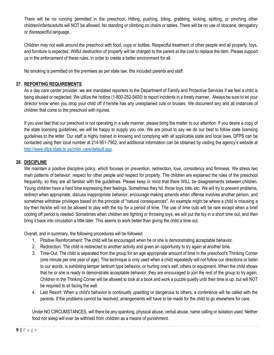There will be no running permitted in the preschool. Hitting, pushing, biting, grabbing, kicking, spitting, or pinching other children/infants/adults will NOT be allowed. No standing or climbing on chairs or tables. There will be no use of obscene, derogatory or disrespectful language.

Children may not walk around the preschool with food, cups or bottles. Respectful treatment of other people and all property, toys, and furniture is expected. Willful destruction of property will be charged to the parent at the cost to replace the item. Please support us in the enforcement of these rules, in order to create a better environment for all.

No smoking is permitted on the premises as per state law; this included parents and staff.

#### <span id="page-9-0"></span>**27. REPORTING REQUIREMENTS**

As a day care center provider, we are mandated reporters to the Department of Family and Protective Services if we feel a child is being abused or neglected. We utilize the hotline (1-800-252-5400) to report incidents in a timely manner. Always be sure to let your director know when you drop your child off if he/she has any unexplained cuts or bruises. We document any and all instances of children that come to the preschool with injuries.

If you ever feel that our preschool is not operating in a safe manner, please bring the matter to our attention. If you desire a copy of the state licensing guidelines, we will be happy to supply you one. We are proud to say we do our best to follow state licensing guidelines to the letter. Our staff is highly trained in knowing and complying with all applicable state and local laws. DFPS can be contacted using their local number at 214-951-7902, and additional information can be obtained by visiting the agency's website at [http://www.dfps.state.tx.us/child\\_care/default.asp.](http://www.dfps.state.tx.us/child_care/default.asp)

#### <span id="page-9-1"></span>**28. DISCIPLINE**

We maintain a positive discipline policy, which focuses on prevention, redirection, love, consistency and firmness. We stress two main patterns of behavior: respect for other people and respect for property. The children are explained the rules of the preschool frequently, so they are all familiar with the guidelines. Please keep in mind that there WILL be disagreements between children. Young children have a hard time expressing their feelings. Sometimes they hit, throw toys, bite, etc. We will try to prevent problems, redirect when appropriate, discuss inappropriate behavior, encourage making amends when offense involves another person, and sometimes withdraw privileges based on the principle of "natural consequences". An example might be where a child is misusing a toy then he/she will not be allowed to play with the toy for a period of time. The use of time outs will be rare except when a brief cooling off period is needed. Sometimes when children are fighting or throwing toys, we will put the toy in a short time out, and then bring it back into circulation a little later. This seems to work better than giving the child a time out.

Overall, and in summary, the following procedures will be followed:

- 1. Positive Reinforcement: The child will be encouraged when he or she is demonstrating acceptable behavior.
- 2. Redirection: The child is redirected to another activity and given an opportunity to try again at another time.
- 3. Time-Out: The child is separated from the group for an age appropriate amount of time in the preschool's Thinking Corner (one minute per one year of age). This technique is only used when a child repeatedly will not follow our directions or listen to our words, is exhibiting temper tantrum type behavior, or hurting one's self, others or equipment. When the child shows that he or she is ready to demonstrate acceptable behavior, they are encouraged to join the rest of the group to try again. Children in the Thinking Corner will be allowed to look at a book and work a puzzle quietly until their time is up, but will NOT be required to sit facing the wall.
- 4. Last Resort: When a child's behavior is continually upsetting or dangerous to others, a conference will be called with the parents. If the problems cannot be resolved, arrangements will have to be made for the child to go elsewhere for care.

Under NO CIRCUMSTANCES, will there be any spanking, physical abuse, verbal abuse, name calling or isolation used. Neither food nor sleep will ever be withheld from children as a means of punishment.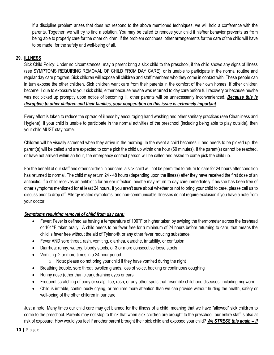If a discipline problem arises that does not respond to the above mentioned techniques, we will hold a conference with the parents. Together, we will try to find a solution. You may be called to remove your child if his/her behavior prevents us from being able to properly care for the other children. If the problem continues, other arrangements for the care of the child will have to be made, for the safety and well-being of all.

#### <span id="page-10-0"></span>**29. ILLNESS**

Sick Child Policy: Under no circumstances, may a parent bring a sick child to the preschool, if the child shows any signs of illness (see SYMPTOMS REQUIRING REMOVAL OF CHILD FROM DAY CARE), or is unable to participate in the normal routine and regular day care program. Sick children will expose all children and staff members who they come in contact with. These people can in turn expose the other children. Sick children want care from their parents in the comfort of their own homes. If other children become ill due to exposure to your sick child, either because he/she was returned to day care before full recovery or because he/she was not picked up promptly upon notice of becoming ill, other parents will be unnecessarily inconvenienced. *Because this is disruptive to other children and their families, your cooperation on this issue is extremely important*.

Every effort is taken to reduce the spread of illness by encouraging hand washing and other sanitary practices (see Cleanliness and Hygiene). If your child is unable to participate in the normal activities of the preschool (including being able to play outside), then your child MUST stay home.

Children will be visually screened when they arrive in the morning. In the event a child becomes ill and needs to be picked up, the parent(s) will be called and are expected to come pick the child up within one hour (60 minutes). If the parent(s) cannot be reached, or have not arrived within an hour, the emergency contact person will be called and asked to come pick the child up.

For the benefit of our staff and other children in our care, a sick child will not be permitted to return to care for 24 hours after condition has returned to normal. The child may return 24 - 48 hours (depending upon the illness) after they have received the first dose of an antibiotic. If a child receives an antibiotic for an ear infection, he/she may return to day care immediately if he/she has been free of other symptoms mentioned for at least 24 hours. If you aren't sure about whether or not to bring your child to care, please call us to discuss prior to drop off. Allergy related symptoms, and non-communicable illnesses do not require exclusion if you have a note from your doctor.

#### *Symptoms requiring removal of child from day care:*

- Fever: Fever is defined as having a temperature of 100°F or higher taken by swiping the thermometer across the forehead or 101°F taken orally. A child needs to be fever free for a minimum of 24 hours before returning to care, that means the child is fever free without the aid of Tylenol®, or any other fever reducing substance.
- Fever AND sore throat, rash, vomiting, diarrhea, earache, irritability, or confusion
- Diarrhea: runny, watery, bloody stools, or 3 or more consecutive loose stools
- Vomiting: 2 or more times in a 24 hour period
	- $\circ$  Note: please do not bring your child if they have vomited during the night
- Breathing trouble, sore throat, swollen glands, loss of voice, hacking or continuous coughing
- Runny nose (other than clear), draining eyes or ears
- Frequent scratching of body or scalp, lice, rash, or any other spots that resemble childhood diseases, including ringworm
- Child is irritable, continuously crying, or requires more attention than we can provide without hurting the health, safety or well-being of the other children in our care.

Just a note: Many times our child care may get blamed for the illness of a child, meaning that we have "allowed" sick children to come to the preschool. Parents may not stop to think that when sick children are brought to the preschool, our entire staff is also at risk of exposure. How would you feel if another parent brought their sick child and exposed your child? *We STRESS this again -- if*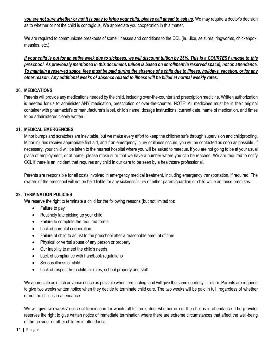*you are not sure whether or not it is okay to bring your child, please call ahead to ask us*. We may require a doctor's decision as to whether or not the child is contagious. We appreciate you cooperation in this matter.

We are required to communicate breakouts of some illnesses and conditions to the CCL (ie…lice, seizures, ringworms, chickenpox, measles, etc.).

*If your child is out for an entire week due to sickness, we will discount tuition by 25%. This is a COURTESY unique to this preschool. As previously mentioned in this document, tuition is based on enrollment (a reserved space), not on attendance. To maintain a reserved space, fees must be paid during the absence of a child due to illness, holidays, vacation, or for any other reason. Any additional weeks of absence related to illness will be billed at normal weekly rates.*

#### <span id="page-11-0"></span>**30. MEDICATIONS**

Parents will provide any medications needed by the child, including over-the-counter and prescription medicine. Written authorization is needed for us to administer ANY medication, prescription or over-the-counter. NOTE: All medicines must be in their original container with pharmacist's or manufacturer's label, child's name, dosage instructions, current date, name of medication, and times to be administered clearly written.

#### <span id="page-11-1"></span>**31. MEDICAL EMERGENCIES**

Minor bumps and scratches are inevitable, but we make every effort to keep the children safe through supervision and childproofing. Minor injuries receive appropriate first aid, and if an emergency injury or illness occurs, you will be contacted as soon as possible. If necessary, your child will be taken to the nearest hospital where you will be asked to meet us. If you are not going to be at your usual place of employment, or at home, please make sure that we have a number where you can be reached. We are required to notify CCL if there is an incident that requires any child in our care to be seen by a healthcare professional.

Parents are responsible for all costs involved in emergency medical treatment, including emergency transportation, if required. The owners of the preschool will not be held liable for any sickness/injury of either parent/guardian or child while on these premises.

#### <span id="page-11-2"></span>**32. TERMINATION POLICIES**

We reserve the right to terminate a child for the following reasons (but not limited to):

- Failure to pay
- Routinely late picking up your child
- Failure to complete the required forms
- Lack of parental cooperation
- Failure of child to adjust to the preschool after a reasonable amount of time
- Physical or verbal abuse of any person or property
- Our inability to meet the child's needs
- Lack of compliance with handbook regulations
- Serious illness of child
- Lack of respect from child for rules, school property and staff

We appreciate as much advance notice as possible when terminating, and will give the same courtesy in return. Parents are required to give two weeks written notice when they decide to terminate child care. The two weeks will be paid in full, regardless of whether or not the child is in attendance.

We will give two weeks' notice of termination for which full tuition is due, whether or not the child is in attendance. The provider reserves the right to give written notice of immediate termination where there are extreme circumstances that affect the well-being of the provider or other children in attendance.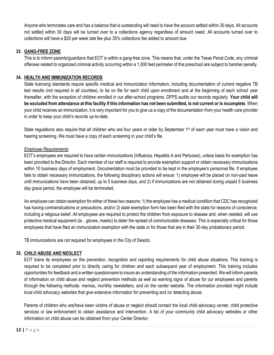Anyone who terminates care and has a balance that is outstanding will need to have the account settled within 30 days. All accounts not settled within 30 days will be turned over to a collections agency regardless of amount owed. All accounts turned over to collections will have a \$20 per week late fee plus 35% collections fee added to amount due.

#### <span id="page-12-0"></span>**33. GANG-FREE ZONE**

This is to inform parents/guardians that EOT is within a gang-free zone. This means that, under the Texas Penal Code, any criminal offenses related to organized criminal activity occurring within a 1,000 feet perimeter of this preschool are subject to harsher penalty.

#### <span id="page-12-1"></span>**34. HEALTH AND IMMUNIZATION RECORDS**

State licensing standards require specific medical and immunization information, including documentation of current negative TB test results (not required in all counties), to be on file for each child upon enrollment and at the beginning of each school year thereafter, with the exception of children enrolled in our after-school programs. DFPS audits our records regularly. **Your child will be excluded from attendance at this facility if this information has not been submitted, is not current or is incomplete.** When your child receives an immunization, it is very important for you to give us a copy of the documentation from your health care provider in order to keep your child's records up-to-date.

State regulations also require that all children who are four years or older by September 1<sup>st</sup> of each year must have a vision and hearing screening. We must have a copy of each screening in your child's file.

#### *Employee Requirements*

EOT's employees are required to have certain immunizations (Influenza, Hepatitis A and Pertussis), unless basis for exemption has been provided to the Director. Each member of our staff is required to provide exemption support or obtain necessary immunizations within 10 business days of employment. Documentation must be provided to be kept in the employee's personnel file. If employee fails to obtain necessary immunizations, the following disciplinary actions will ensue: 1) employee will be placed on non-paid leave until immunizations have been obtained, up to 5 business days, and 2) if immunizations are not obtained during unpaid 5 business day grace period, the employee will be terminated.

An employee can obtain exemption for either of these two reasons: 1) the employee has a medical condition that CDC has recognized has having contraindications or precautions, and/or 2) state exemption form has been filed with the state for reasons of conscience, including a religious belief. All employees are required to protect the children from exposure to disease and, when needed, will use protective medical equipment (ie…gloves, masks) to deter the spread of communicable diseases. This is especially critical for those employees that have filed an immunization exemption with the state or for those that are in their 30-day probationary period.

TB immunizations are not required for employees in the City of Desoto.

#### <span id="page-12-2"></span>**35. CHILD ABUSE AND NEGLECT**

EOT trains its employees on the prevention, recognition and reporting requirements for child abuse situations. This training is required to be completed prior to directly caring for children and each subsequent year of employment. This training includes opportunities for feedback and a written questionnaire to insure an understanding of the information presented. We will inform parents of information on child abuse and neglect prevention methods as well as warning signs of abuse for our employees and parents through the following methods: memos, monthly newsletters, and on the center website. The information provided might include local child advocacy websites that give extensive information for preventing and /or detecting abuse.

Parents of children who are/have been victims of abuse or neglect should contact the local child advocacy center, child protective services or law enforcement to obtain assistance and intervention. A list of your community child advocacy websites or other information on child abuse can be obtained from your Center Director.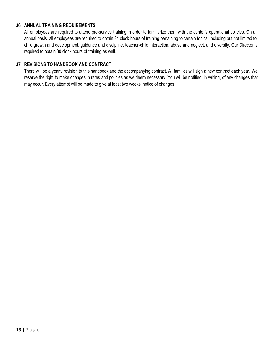#### <span id="page-13-0"></span>**36. ANNUAL TRAINING REQUIREMENTS**

All employees are required to attend pre-service training in order to familiarize them with the center's operational policies. On an annual basis, all employees are required to obtain 24 clock hours of training pertaining to certain topics, including but not limited to, child growth and development, guidance and discipline, teacher-child interaction, abuse and neglect, and diversity. Our Director is required to obtain 30 clock hours of training as well.

#### **37. REVISIONS TO HANDBOOK AND CONTRACT**

<span id="page-13-1"></span>There will be a yearly revision to this handbook and the accompanying contract. All families will sign a new contract each year. We reserve the right to make changes in rates and policies as we deem necessary. You will be notified, in writing, of any changes that may occur. Every attempt will be made to give at least two weeks' notice of changes.